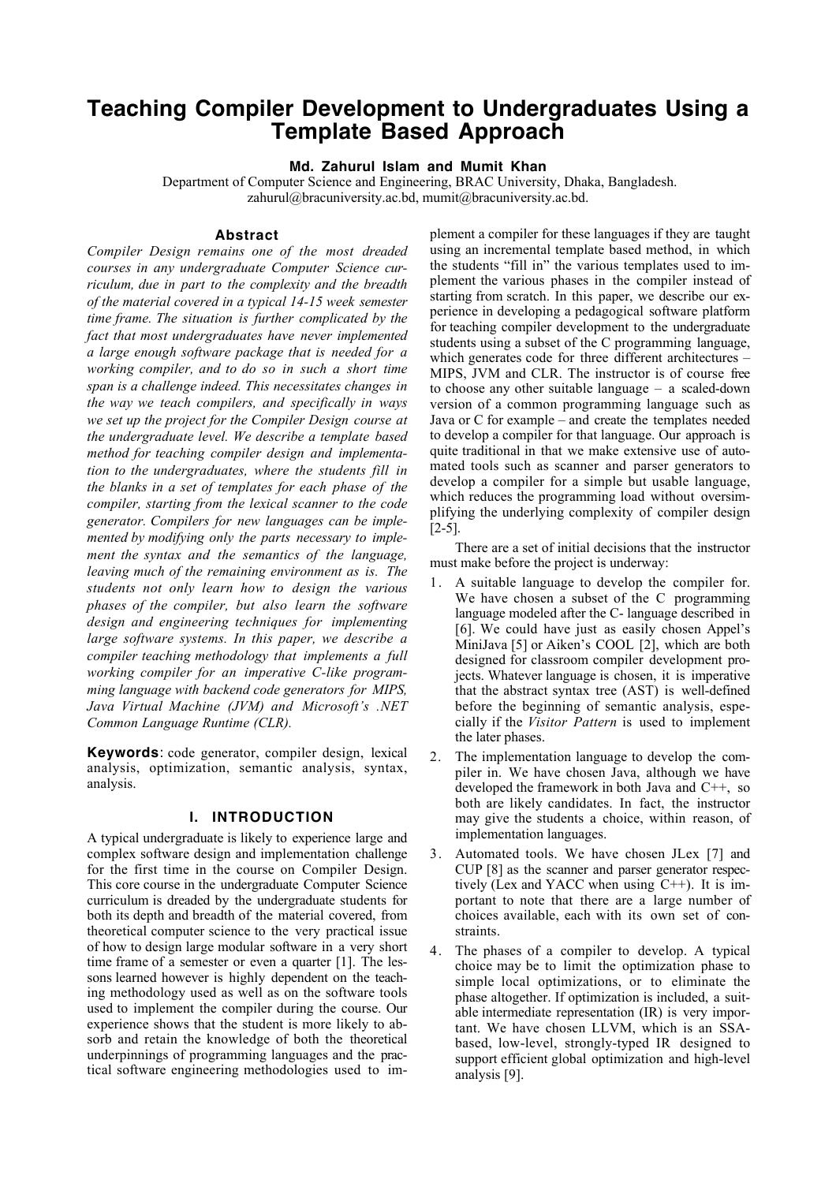# **Teaching Compiler Development to Undergraduates Using a Template Based Approach**

**Md. Zahurul Islam and Mumit Khan**

Department of Computer Science and Engineering, BRAC University, Dhaka, Bangladesh. zahurul@bracuniversity.ac.bd, mumit@bracuniversity.ac.bd.

#### **Abstract**

*Compiler Design remains one of the most dreaded courses in any undergraduate Computer Science curriculum, due in part to the complexity and the breadth of the material covered in a typical 14-15 week semester time frame. The situation is further complicated by the fact that most undergraduates have never implemented a large enough software package that is needed for a working compiler, and to do so in such a short time span is a challenge indeed. This necessitates changes in the way we teach compilers, and specifically in ways we set up the project for the Compiler Design course at the undergraduate level. We describe a template based method for teaching compiler design and implementation to the undergraduates, where the students fill in the blanks in a set of templates for each phase of the compiler, starting from the lexical scanner to the code generator. Compilers for new languages can be implemented by modifying only the parts necessary to implement the syntax and the semantics of the language, leaving much of the remaining environment as is. The students not only learn how to design the various phases of the compiler, but also learn the software design and engineering techniques for implementing large software systems. In this paper, we describe a compiler teaching methodology that implements a full working compiler for an imperative C-like programming language with backend code generators for MIPS, Java Virtual Machine (JVM) and Microsoft's .NET Common Language Runtime (CLR).*

**Keywords**: code generator, compiler design, lexical analysis, optimization, semantic analysis, syntax, analysis.

#### **I. INTRODUCTION**

A typical undergraduate is likely to experience large and complex software design and implementation challenge for the first time in the course on Compiler Design. This core course in the undergraduate Computer Science curriculum is dreaded by the undergraduate students for both its depth and breadth of the material covered, from theoretical computer science to the very practical issue of how to design large modular software in a very short time frame of a semester or even a quarter [1]. The lessons learned however is highly dependent on the teaching methodology used as well as on the software tools used to implement the compiler during the course. Our experience shows that the student is more likely to absorb and retain the knowledge of both the theoretical underpinnings of programming languages and the practical software engineering methodologies used to implement a compiler for these languages if they are taught using an incremental template based method, in which the students "fill in" the various templates used to implement the various phases in the compiler instead of starting from scratch. In this paper, we describe our experience in developing a pedagogical software platform for teaching compiler development to the undergraduate students using a subset of the C programming language, which generates code for three different architectures – MIPS, JVM and CLR. The instructor is of course free to choose any other suitable language – a scaled-down version of a common programming language such as Java or C for example – and create the templates needed to develop a compiler for that language. Our approach is quite traditional in that we make extensive use of automated tools such as scanner and parser generators to develop a compiler for a simple but usable language, which reduces the programming load without oversimplifying the underlying complexity of compiler design [2-5].

There are a set of initial decisions that the instructor must make before the project is underway:

- 1. A suitable language to develop the compiler for. We have chosen a subset of the C programming language modeled after the C- language described in [6]. We could have just as easily chosen Appel's MiniJava [5] or Aiken's COOL [2], which are both designed for classroom compiler development projects. Whatever language is chosen, it is imperative that the abstract syntax tree (AST) is well-defined before the beginning of semantic analysis, especially if the *Visitor Pattern* is used to implement the later phases.
- 2. The implementation language to develop the compiler in. We have chosen Java, although we have developed the framework in both Java and C++, so both are likely candidates. In fact, the instructor may give the students a choice, within reason, of implementation languages.
- 3. Automated tools. We have chosen JLex [7] and CUP [8] as the scanner and parser generator respectively (Lex and YACC when using C++). It is important to note that there are a large number of choices available, each with its own set of constraints.
- 4. The phases of a compiler to develop. A typical choice may be to limit the optimization phase to simple local optimizations, or to eliminate the phase altogether. If optimization is included, a suitable intermediate representation (IR) is very important. We have chosen LLVM, which is an SSAbased, low-level, strongly-typed IR designed to support efficient global optimization and high-level analysis [9].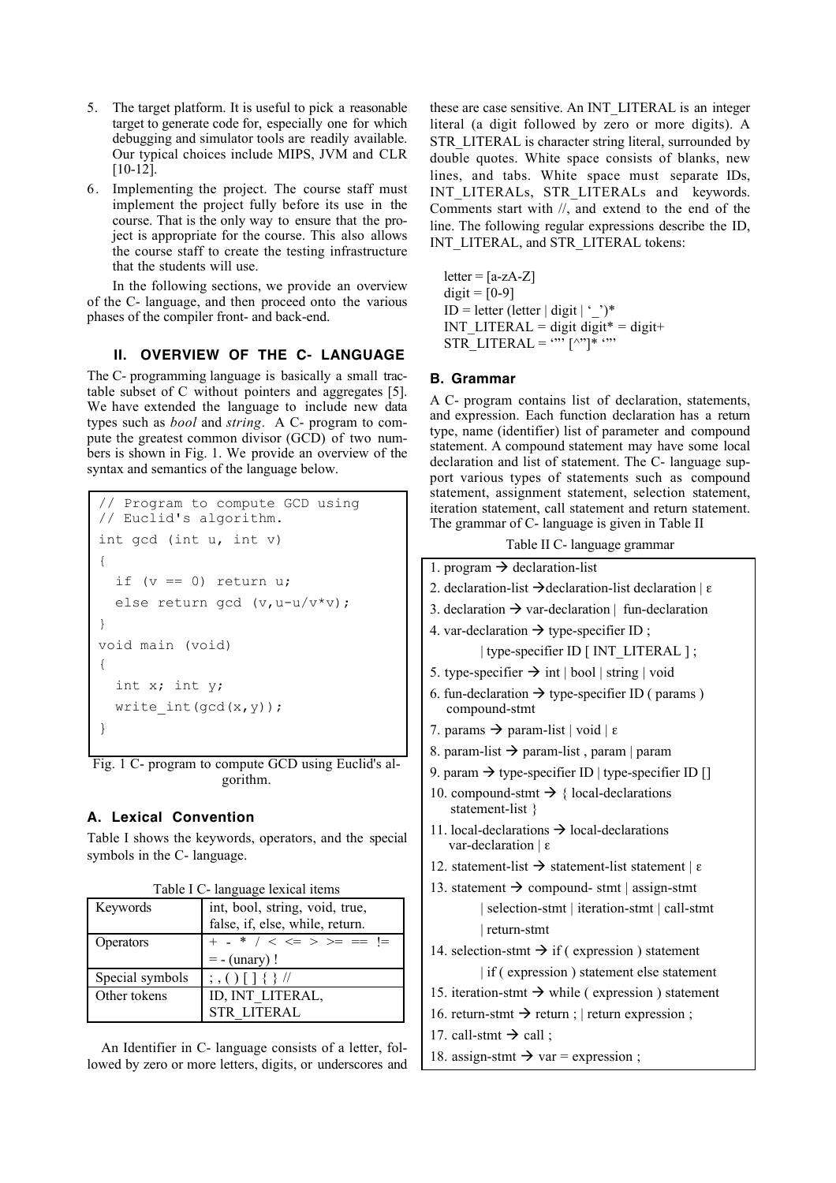- 5. The target platform. It is useful to pick a reasonable target to generate code for, especially one for which debugging and simulator tools are readily available. Our typical choices include MIPS, JVM and CLR [10-12].
- 6. Implementing the project. The course staff must implement the project fully before its use in the course. That is the only way to ensure that the project is appropriate for the course. This also allows the course staff to create the testing infrastructure that the students will use.

In the following sections, we provide an overview of the C- language, and then proceed onto the various phases of the compiler front- and back-end.

# **II. OVERVIEW OF THE C- LANGUAGE**

The C- programming language is basically a small tractable subset of C without pointers and aggregates [5]. We have extended the language to include new data types such as *bool* and *string*. A C- program to compute the greatest common divisor (GCD) of two numbers is shown in Fig. 1. We provide an overview of the syntax and semantics of the language below.

```
// Program to compute GCD using
// Euclid's algorithm.
int gcd (int u, int v)
{
  if (v == 0) return u;
   else return gcd (v,u-u/v*v);
}
void main (void)
{
   int x; int y;
  write int(gcd(x,y));
}
```
Fig. 1 C- program to compute GCD using Euclid's algorithm.

# **A. Lexical Convention**

Table I shows the keywords, operators, and the special symbols in the C- language.

| Table I C- language lexical items |                                                                   |  |
|-----------------------------------|-------------------------------------------------------------------|--|
| Keywords                          |                                                                   |  |
|                                   | int, bool, string, void, true,<br>false, if, else, while, return. |  |
| Operators                         | + - * / < <= > >= == !=                                           |  |
|                                   | $= -$ (unary)!                                                    |  |
| Special symbols                   | $\frac{1}{2}$ , () [ ] { } //                                     |  |
| Other tokens                      | ID, INT_LITERAL,                                                  |  |
|                                   | <b>STR LITERAL</b>                                                |  |

An Identifier in C- language consists of a letter, followed by zero or more letters, digits, or underscores and these are case sensitive. An INT\_LITERAL is an integer literal (a digit followed by zero or more digits). A STR\_LITERAL is character string literal, surrounded by double quotes. White space consists of blanks, new lines, and tabs. White space must separate IDs, INT\_LITERALs, STR\_LITERALs and keywords. Comments start with //, and extend to the end of the line. The following regular expressions describe the ID, INT\_LITERAL, and STR\_LITERAL tokens:

 $letter = [a-zA-Z]$  $\text{digit} = [0-9]$  $ID = letter (letter | digit | '')^*$ INT\_LITERAL = digit digit \* = digit + STR\_LITERAL =  $\cdots$  [^"]\*  $\cdots$ 

## **B. Grammar**

A C- program contains list of declaration, statements, and expression. Each function declaration has a return type, name (identifier) list of parameter and compound statement. A compound statement may have some local declaration and list of statement. The C- language support various types of statements such as compound statement, assignment statement, selection statement, iteration statement, call statement and return statement. The grammar of C- language is given in Table II

Table II C- language grammar

1. program  $\rightarrow$  declaration-list 2. declaration-list  $\rightarrow$  declaration-list declaration  $\epsilon$ 3. declaration  $\rightarrow$  var-declaration | fun-declaration 4. var-declaration  $\rightarrow$  type-specifier ID ; | type-specifier ID [ INT\_LITERAL ] ; 5. type-specifier  $\rightarrow$  int | bool | string | void 6. fun-declaration  $\rightarrow$  type-specifier ID ( params ) compound-stmt 7. params  $\rightarrow$  param-list | void | ε 8. param-list  $\rightarrow$  param-list, param | param 9. param  $\rightarrow$  type-specifier ID | type-specifier ID [] 10. compound-stmt  $\rightarrow \{$  local-declarations statement-list } 11. local-declarations  $\rightarrow$  local-declarations var-declaration | ε 12. statement-list  $\rightarrow$  statement-list statement | ε 13. statement  $\rightarrow$  compound- stmt | assign-stmt | selection-stmt | iteration-stmt | call-stmt | return-stmt 14. selection-stmt  $\rightarrow$  if ( expression ) statement | if ( expression ) statement else statement 15. iteration-stmt  $\rightarrow$  while ( expression ) statement 16. return-stmt  $\rightarrow$  return ; | return expression ; 17. call-stmt  $\rightarrow$  call ; 18. assign-stmt  $\rightarrow$  var = expression ;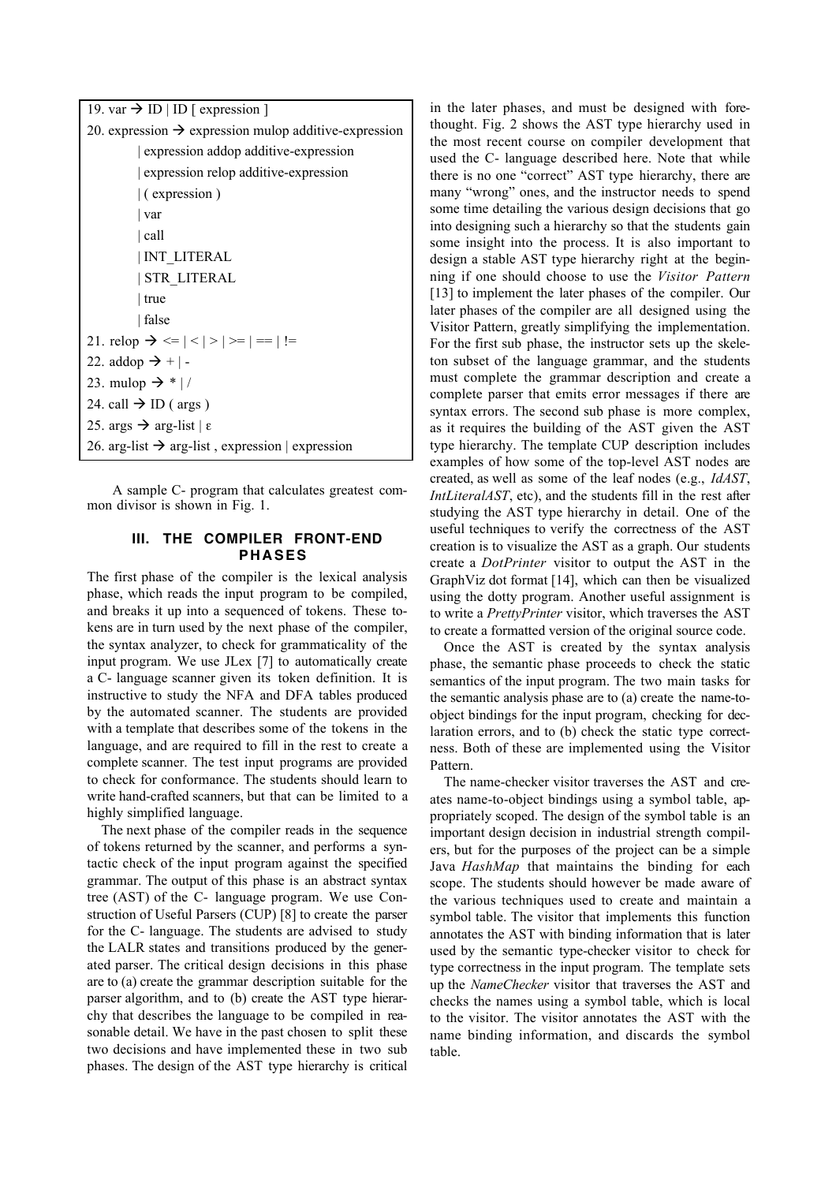| 19. var $\rightarrow$ ID   ID   expression ]                                |  |  |  |
|-----------------------------------------------------------------------------|--|--|--|
| 20. expression $\rightarrow$ expression mulop additive-expression           |  |  |  |
| expression addop additive-expression                                        |  |  |  |
| expression relop additive-expression                                        |  |  |  |
| $\vert$ (expression)                                                        |  |  |  |
| var                                                                         |  |  |  |
| call                                                                        |  |  |  |
| <b>INT LITERAL</b>                                                          |  |  |  |
| <b>STR LITERAL</b>                                                          |  |  |  |
| true                                                                        |  |  |  |
| false                                                                       |  |  |  |
| 21. relop $\rightarrow \langle =   \langle   \rangle   \rangle =   ==   !=$ |  |  |  |
| 22. addop $\rightarrow +$  -                                                |  |  |  |
| 23. mulop $\rightarrow$ *  /                                                |  |  |  |
| 24. call $\rightarrow$ ID ( args )                                          |  |  |  |
| 25. args $\rightarrow$ arg-list   $\varepsilon$                             |  |  |  |
| 26. arg-list $\rightarrow$ arg-list, expression   expression                |  |  |  |

A sample C- program that calculates greatest common divisor is shown in Fig. 1.

# **III. THE COMPILER FRONT-END PHASES**

The first phase of the compiler is the lexical analysis phase, which reads the input program to be compiled, and breaks it up into a sequenced of tokens. These tokens are in turn used by the next phase of the compiler, the syntax analyzer, to check for grammaticality of the input program. We use JLex [7] to automatically create a C- language scanner given its token definition. It is instructive to study the NFA and DFA tables produced by the automated scanner. The students are provided with a template that describes some of the tokens in the language, and are required to fill in the rest to create a complete scanner. The test input programs are provided to check for conformance. The students should learn to write hand-crafted scanners, but that can be limited to a highly simplified language.

The next phase of the compiler reads in the sequence of tokens returned by the scanner, and performs a syntactic check of the input program against the specified grammar. The output of this phase is an abstract syntax tree (AST) of the C- language program. We use Construction of Useful Parsers (CUP) [8] to create the parser for the C- language. The students are advised to study the LALR states and transitions produced by the generated parser. The critical design decisions in this phase are to (a) create the grammar description suitable for the parser algorithm, and to (b) create the AST type hierarchy that describes the language to be compiled in reasonable detail. We have in the past chosen to split these two decisions and have implemented these in two sub phases. The design of the AST type hierarchy is critical

in the later phases, and must be designed with forethought. Fig. 2 shows the AST type hierarchy used in the most recent course on compiler development that used the C- language described here. Note that while there is no one "correct" AST type hierarchy, there are many "wrong" ones, and the instructor needs to spend some time detailing the various design decisions that go into designing such a hierarchy so that the students gain some insight into the process. It is also important to design a stable AST type hierarchy right at the beginning if one should choose to use the *Visitor Pattern* [13] to implement the later phases of the compiler. Our later phases of the compiler are all designed using the Visitor Pattern, greatly simplifying the implementation. For the first sub phase, the instructor sets up the skeleton subset of the language grammar, and the students must complete the grammar description and create a complete parser that emits error messages if there are syntax errors. The second sub phase is more complex, as it requires the building of the AST given the AST type hierarchy. The template CUP description includes examples of how some of the top-level AST nodes are created, as well as some of the leaf nodes (e.g., *IdAST*, *IntLiteralAST*, etc), and the students fill in the rest after studying the AST type hierarchy in detail. One of the useful techniques to verify the correctness of the AST creation is to visualize the AST as a graph. Our students create a *DotPrinter* visitor to output the AST in the GraphViz dot format [14], which can then be visualized using the dotty program. Another useful assignment is to write a *PrettyPrinter* visitor, which traverses the AST to create a formatted version of the original source code.

Once the AST is created by the syntax analysis phase, the semantic phase proceeds to check the static semantics of the input program. The two main tasks for the semantic analysis phase are to (a) create the name-toobject bindings for the input program, checking for declaration errors, and to (b) check the static type correctness. Both of these are implemented using the Visitor Pattern.

The name-checker visitor traverses the AST and creates name-to-object bindings using a symbol table, appropriately scoped. The design of the symbol table is an important design decision in industrial strength compilers, but for the purposes of the project can be a simple Java *HashMap* that maintains the binding for each scope. The students should however be made aware of the various techniques used to create and maintain a symbol table. The visitor that implements this function annotates the AST with binding information that is later used by the semantic type-checker visitor to check for type correctness in the input program. The template sets up the *NameChecker* visitor that traverses the AST and checks the names using a symbol table, which is local to the visitor. The visitor annotates the AST with the name binding information, and discards the symbol table.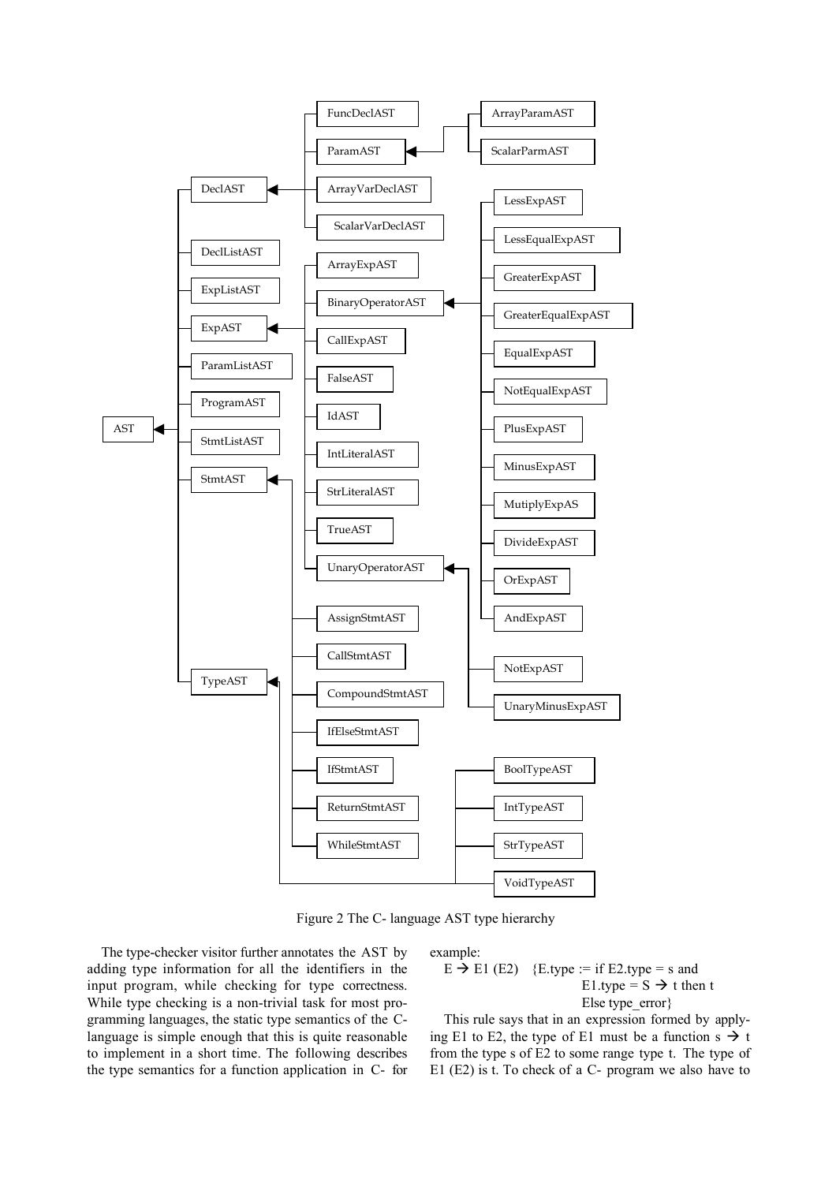

Figure 2 The C- language AST type hierarchy

The type-checker visitor further annotates the AST by adding type information for all the identifiers in the input program, while checking for type correctness. While type checking is a non-trivial task for most programming languages, the static type semantics of the Clanguage is simple enough that this is quite reasonable to implement in a short time. The following describes the type semantics for a function application in C- for

#### example:

 $E \rightarrow E1$  (E2) {E.type := if E2.type = s and E1.type =  $S \rightarrow t$  then t Else type\_error}

This rule says that in an expression formed by applying E1 to E2, the type of E1 must be a function s  $\rightarrow$  t from the type s of E2 to some range type t. The type of E1 (E2) is t. To check of a C- program we also have to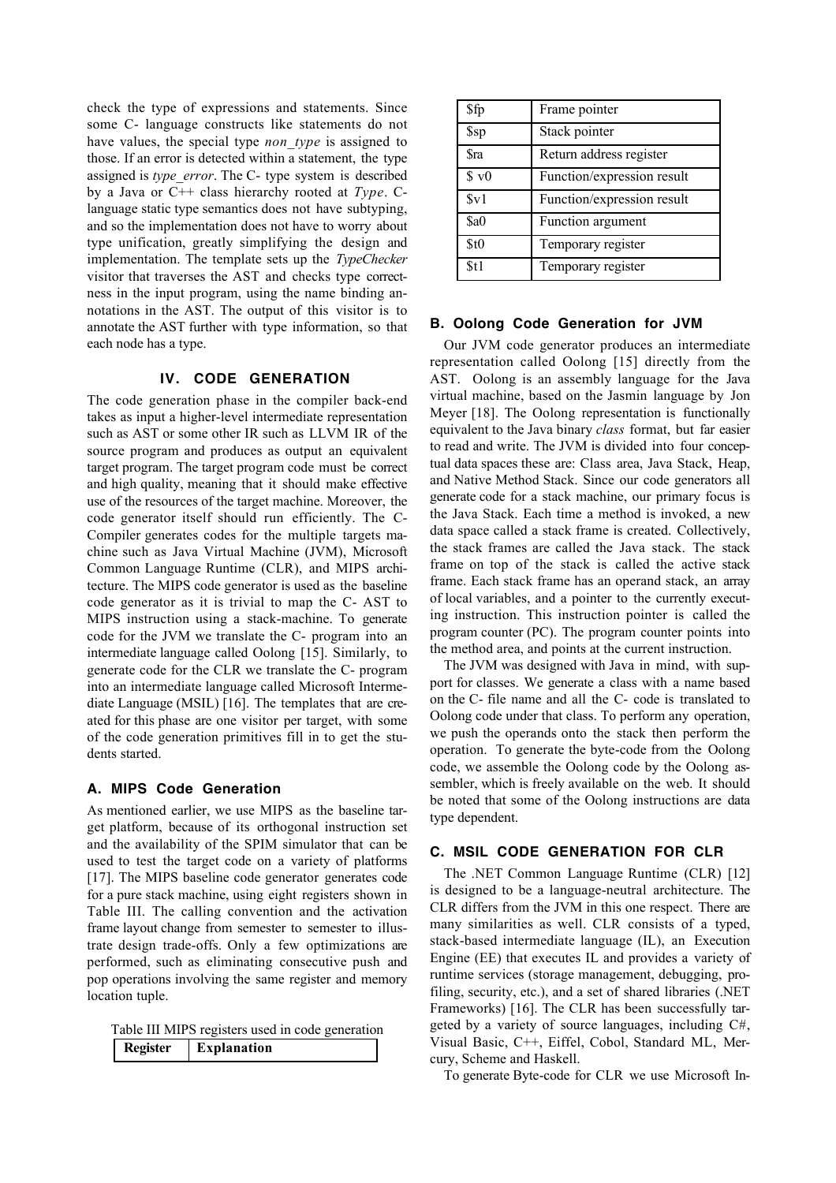check the type of expressions and statements. Since some C- language constructs like statements do not have values, the special type *non\_type* is assigned to those. If an error is detected within a statement, the type assigned is *type\_error*. The C- type system is described by a Java or C++ class hierarchy rooted at *Type*. Clanguage static type semantics does not have subtyping, and so the implementation does not have to worry about type unification, greatly simplifying the design and implementation. The template sets up the *TypeChecker* visitor that traverses the AST and checks type correctness in the input program, using the name binding annotations in the AST. The output of this visitor is to annotate the AST further with type information, so that each node has a type.

## **IV. CODE GENERATION**

The code generation phase in the compiler back-end takes as input a higher-level intermediate representation such as AST or some other IR such as LLVM IR of the source program and produces as output an equivalent target program. The target program code must be correct and high quality, meaning that it should make effective use of the resources of the target machine. Moreover, the code generator itself should run efficiently. The C-Compiler generates codes for the multiple targets machine such as Java Virtual Machine (JVM), Microsoft Common Language Runtime (CLR), and MIPS architecture. The MIPS code generator is used as the baseline code generator as it is trivial to map the C- AST to MIPS instruction using a stack-machine. To generate code for the JVM we translate the C- program into an intermediate language called Oolong [15]. Similarly, to generate code for the CLR we translate the C- program into an intermediate language called Microsoft Intermediate Language (MSIL) [16]. The templates that are created for this phase are one visitor per target, with some of the code generation primitives fill in to get the students started.

# **A. MIPS Code Generation**

As mentioned earlier, we use MIPS as the baseline target platform, because of its orthogonal instruction set and the availability of the SPIM simulator that can be used to test the target code on a variety of platforms [17]. The MIPS baseline code generator generates code for a pure stack machine, using eight registers shown in Table III. The calling convention and the activation frame layout change from semester to semester to illustrate design trade-offs. Only a few optimizations are performed, such as eliminating consecutive push and pop operations involving the same register and memory location tuple.

| Table III MIPS registers used in code generation |          |             |  |  |
|--------------------------------------------------|----------|-------------|--|--|
|                                                  | Register | Explanation |  |  |

| \$fp         | Frame pointer              |
|--------------|----------------------------|
| \$sp         | Stack pointer              |
| <b>Sra</b>   | Return address register    |
| \$v0         | Function/expression result |
| $S_{\rm V}1$ | Function/expression result |
| \$a0         | Function argument          |
| \$t0         | Temporary register         |
| \$t1         | Temporary register         |

#### **B. Oolong Code Generation for JVM**

Our JVM code generator produces an intermediate representation called Oolong [15] directly from the AST. Oolong is an assembly language for the Java virtual machine, based on the Jasmin language by Jon Meyer [18]. The Oolong representation is functionally equivalent to the Java binary *class* format, but far easier to read and write. The JVM is divided into four conceptual data spaces these are: Class area, Java Stack, Heap, and Native Method Stack. Since our code generators all generate code for a stack machine, our primary focus is the Java Stack. Each time a method is invoked, a new data space called a stack frame is created. Collectively, the stack frames are called the Java stack. The stack frame on top of the stack is called the active stack frame. Each stack frame has an operand stack, an array of local variables, and a pointer to the currently executing instruction. This instruction pointer is called the program counter (PC). The program counter points into the method area, and points at the current instruction.

The JVM was designed with Java in mind, with support for classes. We generate a class with a name based on the C- file name and all the C- code is translated to Oolong code under that class. To perform any operation, we push the operands onto the stack then perform the operation. To generate the byte-code from the Oolong code, we assemble the Oolong code by the Oolong assembler, which is freely available on the web. It should be noted that some of the Oolong instructions are data type dependent.

# **C. MSIL CODE GENERATION FOR CLR**

The .NET Common Language Runtime (CLR) [12] is designed to be a language-neutral architecture. The CLR differs from the JVM in this one respect. There are many similarities as well. CLR consists of a typed, stack-based intermediate language (IL), an Execution Engine (EE) that executes IL and provides a variety of runtime services (storage management, debugging, profiling, security, etc.), and a set of shared libraries (.NET Frameworks) [16]. The CLR has been successfully targeted by a variety of source languages, including C#, Visual Basic, C++, Eiffel, Cobol, Standard ML, Mercury, Scheme and Haskell.

To generate Byte-code for CLR we use Microsoft In-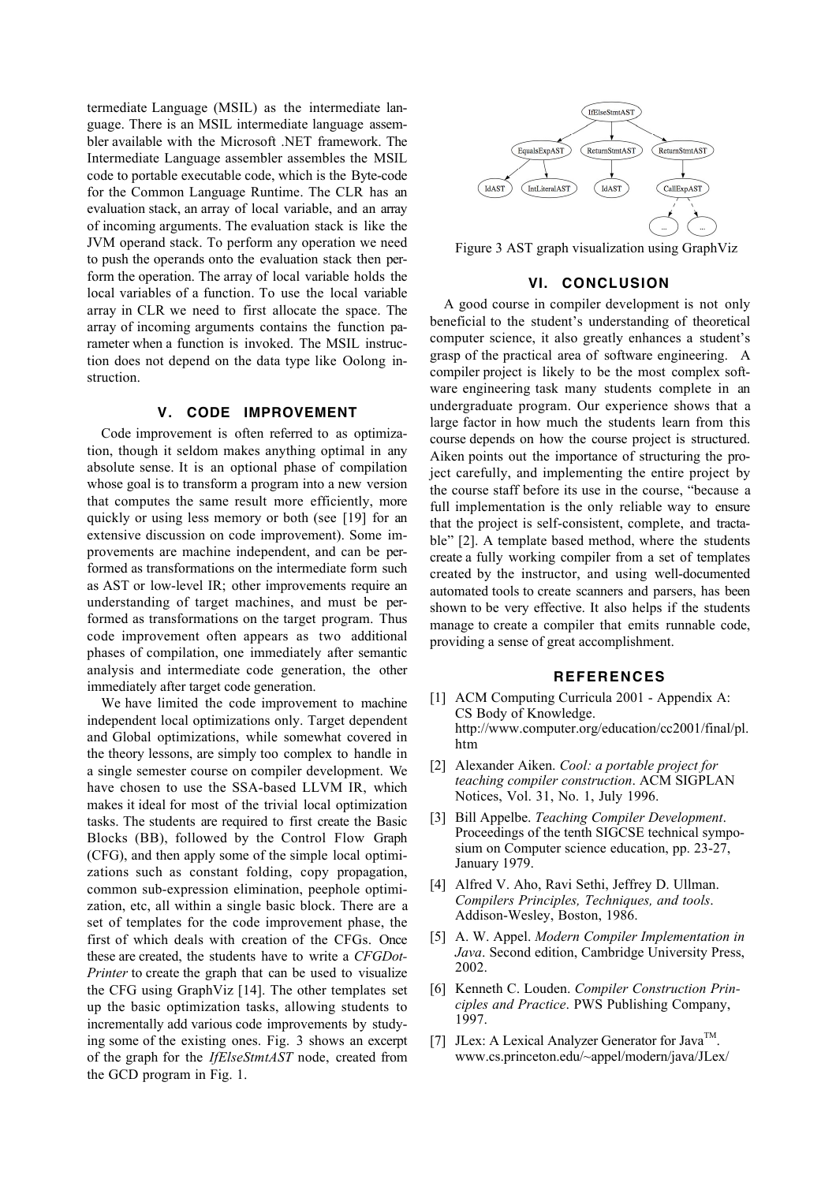termediate Language (MSIL) as the intermediate language. There is an MSIL intermediate language assembler available with the Microsoft .NET framework. The Intermediate Language assembler assembles the MSIL code to portable executable code, which is the Byte-code for the Common Language Runtime. The CLR has an evaluation stack, an array of local variable, and an array of incoming arguments. The evaluation stack is like the JVM operand stack. To perform any operation we need to push the operands onto the evaluation stack then perform the operation. The array of local variable holds the local variables of a function. To use the local variable array in CLR we need to first allocate the space. The array of incoming arguments contains the function parameter when a function is invoked. The MSIL instruction does not depend on the data type like Oolong instruction.

#### **V. CODE IMPROVEMENT**

Code improvement is often referred to as optimization, though it seldom makes anything optimal in any absolute sense. It is an optional phase of compilation whose goal is to transform a program into a new version that computes the same result more efficiently, more quickly or using less memory or both (see [19] for an extensive discussion on code improvement). Some improvements are machine independent, and can be performed as transformations on the intermediate form such as AST or low-level IR; other improvements require an understanding of target machines, and must be performed as transformations on the target program. Thus code improvement often appears as two additional phases of compilation, one immediately after semantic analysis and intermediate code generation, the other immediately after target code generation.

We have limited the code improvement to machine independent local optimizations only. Target dependent and Global optimizations, while somewhat covered in the theory lessons, are simply too complex to handle in a single semester course on compiler development. We have chosen to use the SSA-based LLVM IR, which makes it ideal for most of the trivial local optimization tasks. The students are required to first create the Basic Blocks (BB), followed by the Control Flow Graph (CFG), and then apply some of the simple local optimizations such as constant folding, copy propagation, common sub-expression elimination, peephole optimization, etc, all within a single basic block. There are a set of templates for the code improvement phase, the first of which deals with creation of the CFGs. Once these are created, the students have to write a *CFGDot-Printer* to create the graph that can be used to visualize the CFG using GraphViz [14]. The other templates set up the basic optimization tasks, allowing students to incrementally add various code improvements by studying some of the existing ones. Fig. 3 shows an excerpt of the graph for the *IfElseStmtAST* node, created from the GCD program in Fig. 1.



Figure 3 AST graph visualization using GraphViz

#### **VI. CONCLUSION**

A good course in compiler development is not only beneficial to the student's understanding of theoretical computer science, it also greatly enhances a student's grasp of the practical area of software engineering. A compiler project is likely to be the most complex software engineering task many students complete in an undergraduate program. Our experience shows that a large factor in how much the students learn from this course depends on how the course project is structured. Aiken points out the importance of structuring the project carefully, and implementing the entire project by the course staff before its use in the course, "because a full implementation is the only reliable way to ensure that the project is self-consistent, complete, and tractable" [2]. A template based method, where the students create a fully working compiler from a set of templates created by the instructor, and using well-documented automated tools to create scanners and parsers, has been shown to be very effective. It also helps if the students manage to create a compiler that emits runnable code, providing a sense of great accomplishment.

#### **REFERENCES**

- [1] ACM Computing Curricula 2001 Appendix A: CS Body of Knowledge. http://www.computer.org/education/cc2001/final/pl. htm
- [2] Alexander Aiken. *Cool: a portable project for teaching compiler construction*. ACM SIGPLAN Notices, Vol. 31, No. 1, July 1996.
- [3] Bill Appelbe. *Teaching Compiler Development*. Proceedings of the tenth SIGCSE technical symposium on Computer science education, pp. 23-27, January 1979.
- [4] Alfred V. Aho, Ravi Sethi, Jeffrey D. Ullman. *Compilers Principles, Techniques, and tools*. Addison-Wesley, Boston, 1986.
- [5] A. W. Appel. *Modern Compiler Implementation in Java*. Second edition, Cambridge University Press, 2002.
- [6] Kenneth C. Louden. *Compiler Construction Principles and Practice*. PWS Publishing Company, 1997.
- [7] JLex: A Lexical Analyzer Generator for Java<sup>TM</sup>. www.cs.princeton.edu/~appel/modern/java/JLex/